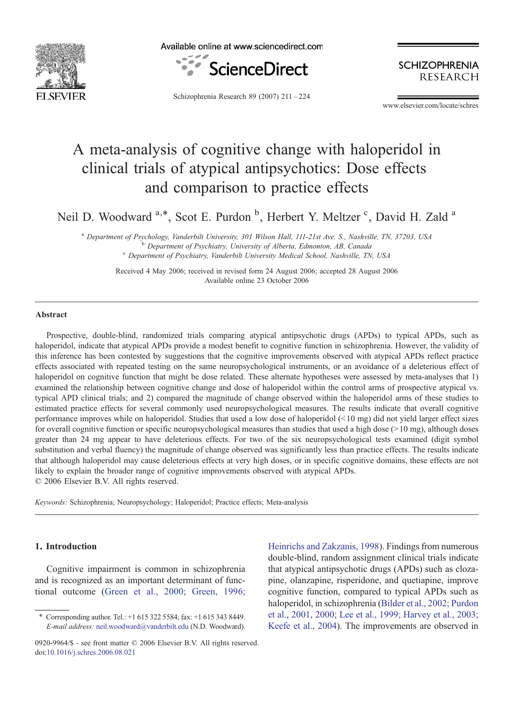

Available online at www.sciencedirect.com



**SCHIZOPHRENIA RESEARCH** 

Schizophrenia Research 89 (2007) 211–224

www.elsevier.com/locate/schres

# A meta-analysis of cognitive change with haloperidol in clinical trials of atypical antipsychotics: Dose effects and comparison to practice effects

Neil D. Woodward <sup>a,\*</sup>, Scot E. Purdon <sup>b</sup>, Herbert Y. Meltzer <sup>c</sup>, David H. Zald <sup>a</sup>

<sup>a</sup> Department of Psychology, Vanderbilt University, 301 Wilson Hall, 111-21st Ave. S., Nashville, TN, 37203, USA<br><sup>b</sup> Department of Psychiatry, University of Alberta, Edmonton, AB, Canada<br><sup>c</sup> Department of Psychiatry, Vand

Received 4 May 2006; received in revised form 24 August 2006; accepted 28 August 2006 Available online 23 October 2006

#### **Abstract**

Prospective, double-blind, randomized trials comparing atypical antipsychotic drugs (APDs) to typical APDs, such as haloperidol, indicate that atypical APDs provide a modest benefit to cognitive function in schizophrenia. However, the validity of this inference has been contested by suggestions that the cognitive improvements observed with atypical APDs reflect practice effects associated with repeated testing on the same neuropsychological instruments, or an avoidance of a deleterious effect of haloperidol on cognitive function that might be dose related. These alternate hypotheses were assessed by meta-analyses that 1) examined the relationship between cognitive change and dose of haloperidol within the control arms of prospective atypical vs. typical APD clinical trials; and 2) compared the magnitude of change observed within the haloperidol arms of these studies to estimated practice effects for several commonly used neuropsychological measures. The results indicate that overall cognitive performance improves while on haloperidol. Studies that used a low dose of haloperidol  $($  < 10 mg) did not yield larger effect sizes for overall cognitive function or specific neuropsychological measures than studies that used a high dose  $(>10 \text{ mg})$ , although doses greater than 24 mg appear to have deleterious effects. For two of the six neuropsychological tests examined (digit symbol substitution and verbal fluency) the magnitude of change observed was significantly less than practice effects. The results indicate that although haloperidol may cause deleterious effects at very high doses, or in specific cognitive domains, these effects are not likely to explain the broader range of cognitive improvements observed with atypical APDs. © 2006 Elsevier B.V. All rights reserved.

Keywords: Schizophrenia; Neuropsychology; Haloperidol; Practice effects; Meta-analysis

#### 1. Introduction

Cognitive impairment is common in schizophrenia and is recognized as an important determinant of functional outcome [\(Green et al., 2000; Green, 1996;](#page-11-0)

[Heinrichs and Zakzanis, 1998\)](#page-11-0). Findings from numerous double-blind, random assignment clinical trials indicate that atypical antipsychotic drugs (APDs) such as clozapine, olanzapine, risperidone, and quetiapine, improve cognitive function, compared to typical APDs such as haloperidol, in schizophrenia ([Bilder et al., 2002; Purdon](#page-11-0) [et al., 2001, 2000; Lee et al., 1999; Harvey et al., 2003;](#page-11-0) [Keefe et al., 2004](#page-11-0)). The improvements are observed in

<sup>⁎</sup> Corresponding author. Tel.: +1 615 322 5584; fax: +1 615 343 8449. E-mail address: [neil.woodward@vanderbilt.edu](mailto:neil.woodward@vanderbilt.edu) (N.D. Woodward).

<sup>0920-9964/\$ -</sup> see front matter © 2006 Elsevier B.V. All rights reserved. doi[:10.1016/j.schres.2006.08.021](http://dx.doi.org/10.1016/j.schres.2006.08.021)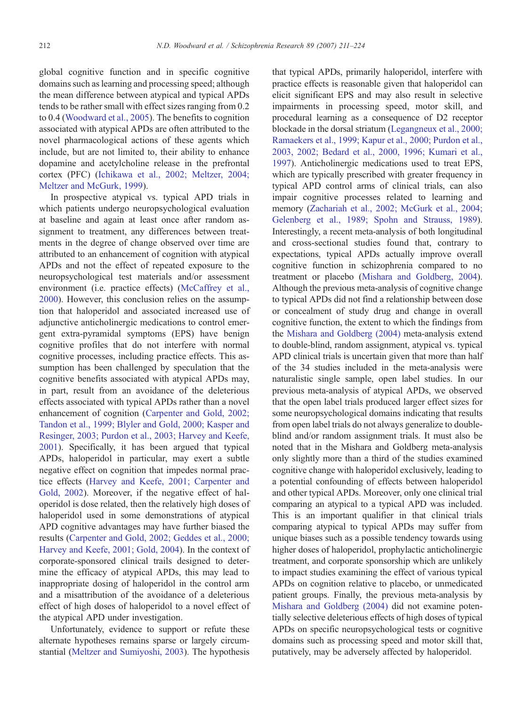global cognitive function and in specific cognitive domains such as learning and processing speed; although the mean difference between atypical and typical APDs tends to be rather small with effect sizes ranging from 0.2 to 0.4 ([Woodward et al., 2005\)](#page-13-0). The benefits to cognition associated with atypical APDs are often attributed to the novel pharmacological actions of these agents which include, but are not limited to, their ability to enhance dopamine and acetylcholine release in the prefrontal cortex (PFC) [\(Ichikawa et al., 2002; Meltzer, 2004;](#page-12-0) [Meltzer and McGurk, 1999](#page-12-0)).

In prospective atypical vs. typical APD trials in which patients undergo neuropsychological evaluation at baseline and again at least once after random assignment to treatment, any differences between treatments in the degree of change observed over time are attributed to an enhancement of cognition with atypical APDs and not the effect of repeated exposure to the neuropsychological test materials and/or assessment environment (i.e. practice effects) [\(McCaffrey et al.,](#page-12-0) [2000](#page-12-0)). However, this conclusion relies on the assumption that haloperidol and associated increased use of adjunctive anticholinergic medications to control emergent extra-pyramidal symptoms (EPS) have benign cognitive profiles that do not interfere with normal cognitive processes, including practice effects. This assumption has been challenged by speculation that the cognitive benefits associated with atypical APDs may, in part, result from an avoidance of the deleterious effects associated with typical APDs rather than a novel enhancement of cognition [\(Carpenter and Gold, 2002;](#page-11-0) [Tandon et al., 1999; Blyler and Gold, 2000; Kasper and](#page-11-0) [Resinger, 2003; Purdon et al., 2003; Harvey and Keefe,](#page-11-0) [2001](#page-11-0)). Specifically, it has been argued that typical APDs, haloperidol in particular, may exert a subtle negative effect on cognition that impedes normal practice effects ([Harvey and Keefe, 2001; Carpenter and](#page-11-0) [Gold, 2002\)](#page-11-0). Moreover, if the negative effect of haloperidol is dose related, then the relatively high doses of haloperidol used in some demonstrations of atypical APD cognitive advantages may have further biased the results ([Carpenter and Gold, 2002; Geddes et al., 2000;](#page-11-0) [Harvey and Keefe, 2001; Gold, 2004\)](#page-11-0). In the context of corporate-sponsored clinical trails designed to determine the efficacy of atypical APDs, this may lead to inappropriate dosing of haloperidol in the control arm and a misattribution of the avoidance of a deleterious effect of high doses of haloperidol to a novel effect of the atypical APD under investigation.

Unfortunately, evidence to support or refute these alternate hypotheses remains sparse or largely circumstantial [\(Meltzer and Sumiyoshi, 2003](#page-12-0)). The hypothesis that typical APDs, primarily haloperidol, interfere with practice effects is reasonable given that haloperidol can elicit significant EPS and may also result in selective impairments in processing speed, motor skill, and procedural learning as a consequence of D2 receptor blockade in the dorsal striatum ([Legangneux et al., 2000;](#page-12-0) [Ramaekers et al., 1999; Kapur et al., 2000; Purdon et al.,](#page-12-0) [2003, 2002; Bedard et al., 2000, 1996; Kumari et al.,](#page-12-0) [1997\)](#page-12-0). Anticholinergic medications used to treat EPS, which are typically prescribed with greater frequency in typical APD control arms of clinical trials, can also impair cognitive processes related to learning and memory ([Zachariah et al., 2002; McGurk et al., 2004;](#page-13-0) [Gelenberg et al., 1989; Spohn and Strauss, 1989\)](#page-13-0). Interestingly, a recent meta-analysis of both longitudinal and cross-sectional studies found that, contrary to expectations, typical APDs actually improve overall cognitive function in schizophrenia compared to no treatment or placebo ([Mishara and Goldberg, 2004\)](#page-12-0). Although the previous meta-analysis of cognitive change to typical APDs did not find a relationship between dose or concealment of study drug and change in overall cognitive function, the extent to which the findings from the [Mishara and Goldberg \(2004\)](#page-12-0) meta-analysis extend to double-blind, random assignment, atypical vs. typical APD clinical trials is uncertain given that more than half of the 34 studies included in the meta-analysis were naturalistic single sample, open label studies. In our previous meta-analysis of atypical APDs, we observed that the open label trials produced larger effect sizes for some neuropsychological domains indicating that results from open label trials do not always generalize to doubleblind and/or random assignment trials. It must also be noted that in the Mishara and Goldberg meta-analysis only slightly more than a third of the studies examined cognitive change with haloperidol exclusively, leading to a potential confounding of effects between haloperidol and other typical APDs. Moreover, only one clinical trial comparing an atypical to a typical APD was included. This is an important qualifier in that clinical trials comparing atypical to typical APDs may suffer from unique biases such as a possible tendency towards using higher doses of haloperidol, prophylactic anticholinergic treatment, and corporate sponsorship which are unlikely to impact studies examining the effect of various typical APDs on cognition relative to placebo, or unmedicated patient groups. Finally, the previous meta-analysis by [Mishara and Goldberg \(2004\)](#page-12-0) did not examine potentially selective deleterious effects of high doses of typical APDs on specific neuropsychological tests or cognitive domains such as processing speed and motor skill that, putatively, may be adversely affected by haloperidol.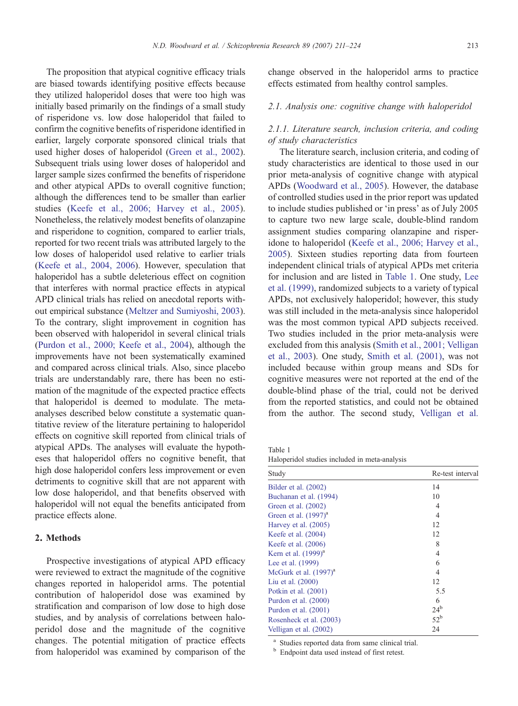<span id="page-2-0"></span>The proposition that atypical cognitive efficacy trials are biased towards identifying positive effects because they utilized haloperidol doses that were too high was initially based primarily on the findings of a small study of risperidone vs. low dose haloperidol that failed to confirm the cognitive benefits of risperidone identified in earlier, largely corporate sponsored clinical trials that used higher doses of haloperidol ([Green et al., 2002](#page-11-0)). Subsequent trials using lower doses of haloperidol and larger sample sizes confirmed the benefits of risperidone and other atypical APDs to overall cognitive function; although the differences tend to be smaller than earlier studies ([Keefe et al., 2006; Harvey et al., 2005](#page-12-0)). Nonetheless, the relatively modest benefits of olanzapine and risperidone to cognition, compared to earlier trials, reported for two recent trials was attributed largely to the low doses of haloperidol used relative to earlier trials [\(Keefe et al., 2004, 2006\)](#page-12-0). However, speculation that haloperidol has a subtle deleterious effect on cognition that interferes with normal practice effects in atypical APD clinical trials has relied on anecdotal reports without empirical substance [\(Meltzer and Sumiyoshi, 2003](#page-12-0)). To the contrary, slight improvement in cognition has been observed with haloperidol in several clinical trials [\(Purdon et al., 2000; Keefe et al., 2004](#page-12-0)), although the improvements have not been systematically examined and compared across clinical trials. Also, since placebo trials are understandably rare, there has been no estimation of the magnitude of the expected practice effects that haloperidol is deemed to modulate. The metaanalyses described below constitute a systematic quantitative review of the literature pertaining to haloperidol effects on cognitive skill reported from clinical trials of atypical APDs. The analyses will evaluate the hypotheses that haloperidol offers no cognitive benefit, that high dose haloperidol confers less improvement or even detriments to cognitive skill that are not apparent with low dose haloperidol, and that benefits observed with haloperidol will not equal the benefits anticipated from practice effects alone.

#### 2. Methods

Prospective investigations of atypical APD efficacy were reviewed to extract the magnitude of the cognitive changes reported in haloperidol arms. The potential contribution of haloperidol dose was examined by stratification and comparison of low dose to high dose studies, and by analysis of correlations between haloperidol dose and the magnitude of the cognitive changes. The potential mitigation of practice effects from haloperidol was examined by comparison of the

change observed in the haloperidol arms to practice effects estimated from healthy control samples.

## 2.1. Analysis one: cognitive change with haloperidol

## 2.1.1. Literature search, inclusion criteria, and coding of study characteristics

The literature search, inclusion criteria, and coding of study characteristics are identical to those used in our prior meta-analysis of cognitive change with atypical APDs ([Woodward et al., 2005\)](#page-13-0). However, the database of controlled studies used in the prior report was updated to include studies published or 'in press' as of July 2005 to capture two new large scale, double-blind random assignment studies comparing olanzapine and risperidone to haloperidol ([Keefe et al., 2006; Harvey et al.,](#page-12-0) [2005\)](#page-12-0). Sixteen studies reporting data from fourteen independent clinical trials of atypical APDs met criteria for inclusion and are listed in Table 1. One study, [Lee](#page-12-0) [et al. \(1999\)](#page-12-0), randomized subjects to a variety of typical APDs, not exclusively haloperidol; however, this study was still included in the meta-analysis since haloperidol was the most common typical APD subjects received. Two studies included in the prior meta-analysis were excluded from this analysis [\(Smith et al., 2001; Velligan](#page-13-0) [et al., 2003\)](#page-13-0). One study, [Smith et al. \(2001\),](#page-13-0) was not included because within group means and SDs for cognitive measures were not reported at the end of the double-blind phase of the trial, could not be derived from the reported statistics, and could not be obtained from the author. The second study, [Velligan et al.](#page-13-0)

Table 1 Haloperidol studies included in meta-analysis

| Study                      | Re-test interval |
|----------------------------|------------------|
| Bilder et al. (2002)       | 14               |
| Buchanan et al. (1994)     | 10               |
| Green et al. (2002)        | 4                |
| Green et al. $(1997)^{a}$  | 4                |
| Harvey et al. $(2005)$     | 12               |
| Keefe et al. (2004)        | 12               |
| Keefe et al. (2006)        | 8                |
| Kern et al. $(1999)^{a}$   | 4                |
| Lee et al. (1999)          | 6                |
| McGurk et al. $(1997)^{a}$ | 4                |
| Liu et al. (2000)          | 12               |
| Potkin et al. (2001)       | 5.5              |
| Purdon et al. (2000)       | 6                |
| Purdon et al. (2001)       | $24^{\rm b}$     |
| Rosenheck et al. (2003)    | $52^{\rm b}$     |
| Velligan et al. (2002)     | 24               |

<sup>a</sup> Studies reported data from same clinical trial.

<sup>b</sup> Endpoint data used instead of first retest.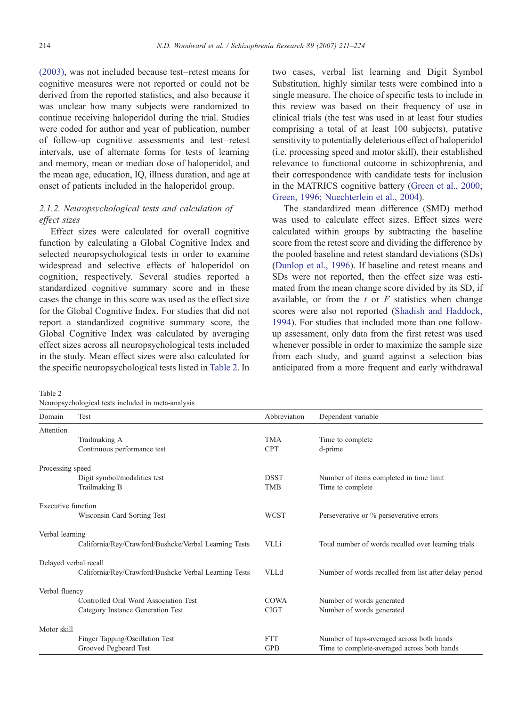[\(2003\),](#page-13-0) was not included because test–retest means for cognitive measures were not reported or could not be derived from the reported statistics, and also because it was unclear how many subjects were randomized to continue receiving haloperidol during the trial. Studies were coded for author and year of publication, number of follow-up cognitive assessments and test–retest intervals, use of alternate forms for tests of learning and memory, mean or median dose of haloperidol, and the mean age, education, IQ, illness duration, and age at onset of patients included in the haloperidol group.

## 2.1.2. Neuropsychological tests and calculation of effect sizes

Effect sizes were calculated for overall cognitive function by calculating a Global Cognitive Index and selected neuropsychological tests in order to examine widespread and selective effects of haloperidol on cognition, respectively. Several studies reported a standardized cognitive summary score and in these cases the change in this score was used as the effect size for the Global Cognitive Index. For studies that did not report a standardized cognitive summary score, the Global Cognitive Index was calculated by averaging effect sizes across all neuropsychological tests included in the study. Mean effect sizes were also calculated for the specific neuropsychological tests listed in Table 2. In

two cases, verbal list learning and Digit Symbol Substitution, highly similar tests were combined into a single measure. The choice of specific tests to include in this review was based on their frequency of use in clinical trials (the test was used in at least four studies comprising a total of at least 100 subjects), putative sensitivity to potentially deleterious effect of haloperidol (i.e. processing speed and motor skill), their established relevance to functional outcome in schizophrenia, and their correspondence with candidate tests for inclusion in the MATRICS cognitive battery [\(Green et al., 2000;](#page-11-0) [Green, 1996; Nuechterlein et al., 2004\)](#page-11-0).

The standardized mean difference (SMD) method was used to calculate effect sizes. Effect sizes were calculated within groups by subtracting the baseline score from the retest score and dividing the difference by the pooled baseline and retest standard deviations (SDs) [\(Dunlop et al., 1996](#page-11-0)). If baseline and retest means and SDs were not reported, then the effect size was estimated from the mean change score divided by its SD, if available, or from the  $t$  or  $F$  statistics when change scores were also not reported [\(Shadish and Haddock,](#page-13-0) [1994](#page-13-0)). For studies that included more than one followup assessment, only data from the first retest was used whenever possible in order to maximize the sample size from each study, and guard against a selection bias anticipated from a more frequent and early withdrawal

Table 2

Neuropsychological tests included in meta-analysis

| Domain             | Test                                                  | Abbreviation | Dependent variable                                    |
|--------------------|-------------------------------------------------------|--------------|-------------------------------------------------------|
| Attention          |                                                       |              |                                                       |
|                    | Trailmaking A                                         | <b>TMA</b>   | Time to complete                                      |
|                    | Continuous performance test                           | <b>CPT</b>   | d-prime                                               |
| Processing speed   |                                                       |              |                                                       |
|                    | Digit symbol/modalities test                          | <b>DSST</b>  | Number of items completed in time limit               |
|                    | Trailmaking B                                         | <b>TMB</b>   | Time to complete                                      |
| Executive function |                                                       |              |                                                       |
|                    | Wisconsin Card Sorting Test                           | <b>WCST</b>  | Perseverative or % perseverative errors               |
| Verbal learning    |                                                       |              |                                                       |
|                    | California/Rey/Crawford/Bushcke/Verbal Learning Tests | <b>VLLi</b>  | Total number of words recalled over learning trials   |
|                    | Delayed verbal recall                                 |              |                                                       |
|                    | California/Rey/Crawford/Bushcke Verbal Learning Tests | <b>VLLd</b>  | Number of words recalled from list after delay period |
| Verbal fluency     |                                                       |              |                                                       |
|                    | Controlled Oral Word Association Test                 | <b>COWA</b>  | Number of words generated                             |
|                    | Category Instance Generation Test                     | <b>CIGT</b>  | Number of words generated                             |
| Motor skill        |                                                       |              |                                                       |
|                    | Finger Tapping/Oscillation Test                       | <b>FTT</b>   | Number of taps-averaged across both hands             |
|                    | Grooved Pegboard Test                                 | <b>GPB</b>   | Time to complete-averaged across both hands           |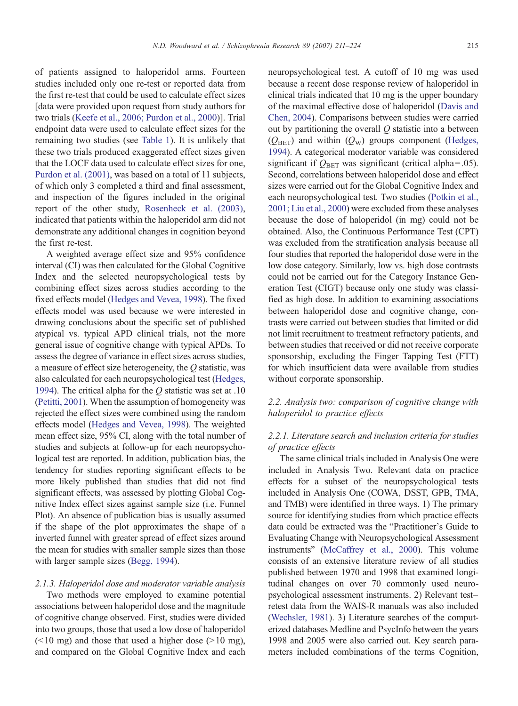of patients assigned to haloperidol arms. Fourteen studies included only one re-test or reported data from the first re-test that could be used to calculate effect sizes [data were provided upon request from study authors for two trials [\(Keefe et al., 2006; Purdon et al., 2000](#page-12-0))]. Trial endpoint data were used to calculate effect sizes for the remaining two studies (see [Table 1\)](#page-2-0). It is unlikely that these two trials produced exaggerated effect sizes given that the LOCF data used to calculate effect sizes for one, [Purdon et al. \(2001\)](#page-12-0), was based on a total of 11 subjects, of which only 3 completed a third and final assessment, and inspection of the figures included in the original report of the other study, [Rosenheck et al. \(2003\),](#page-12-0) indicated that patients within the haloperidol arm did not demonstrate any additional changes in cognition beyond the first re-test.

A weighted average effect size and 95% confidence interval (CI) was then calculated for the Global Cognitive Index and the selected neuropsychological tests by combining effect sizes across studies according to the fixed effects model ([Hedges and Vevea, 1998\)](#page-12-0). The fixed effects model was used because we were interested in drawing conclusions about the specific set of published atypical vs. typical APD clinical trials, not the more general issue of cognitive change with typical APDs. To assess the degree of variance in effect sizes across studies, a measure of effect size heterogeneity, the  $Q$  statistic, was also calculated for each neuropsychological test [\(Hedges,](#page-12-0) [1994](#page-12-0)). The critical alpha for the  $Q$  statistic was set at .10 [\(Petitti, 2001\)](#page-12-0). When the assumption of homogeneity was rejected the effect sizes were combined using the random effects model [\(Hedges and Vevea, 1998](#page-12-0)). The weighted mean effect size, 95% CI, along with the total number of studies and subjects at follow-up for each neuropsychological test are reported. In addition, publication bias, the tendency for studies reporting significant effects to be more likely published than studies that did not find significant effects, was assessed by plotting Global Cognitive Index effect sizes against sample size (i.e. Funnel Plot). An absence of publication bias is usually assumed if the shape of the plot approximates the shape of a inverted funnel with greater spread of effect sizes around the mean for studies with smaller sample sizes than those with larger sample sizes [\(Begg, 1994](#page-11-0)).

#### 2.1.3. Haloperidol dose and moderator variable analysis

Two methods were employed to examine potential associations between haloperidol dose and the magnitude of cognitive change observed. First, studies were divided into two groups, those that used a low dose of haloperidol  $($  < 10 mg) and those that used a higher dose ( $>$  10 mg), and compared on the Global Cognitive Index and each

neuropsychological test. A cutoff of 10 mg was used because a recent dose response review of haloperidol in clinical trials indicated that 10 mg is the upper boundary of the maximal effective dose of haloperidol [\(Davis and](#page-11-0) [Chen, 2004](#page-11-0)). Comparisons between studies were carried out by partitioning the overall  $Q$  statistic into a between  $(Q<sub>BET</sub>)$  and within  $(Q<sub>W</sub>)$  groups component [\(Hedges,](#page-12-0) [1994\)](#page-12-0). A categorical moderator variable was considered significant if  $Q_{\text{BET}}$  was significant (critical alpha=.05). Second, correlations between haloperidol dose and effect sizes were carried out for the Global Cognitive Index and each neuropsychological test. Two studies [\(Potkin et al.,](#page-12-0) [2001; Liu et al., 2000](#page-12-0)) were excluded from these analyses because the dose of haloperidol (in mg) could not be obtained. Also, the Continuous Performance Test (CPT) was excluded from the stratification analysis because all four studies that reported the haloperidol dose were in the low dose category. Similarly, low vs. high dose contrasts could not be carried out for the Category Instance Generation Test (CIGT) because only one study was classified as high dose. In addition to examining associations between haloperidol dose and cognitive change, contrasts were carried out between studies that limited or did not limit recruitment to treatment refractory patients, and between studies that received or did not receive corporate sponsorship, excluding the Finger Tapping Test (FTT) for which insufficient data were available from studies without corporate sponsorship.

## 2.2. Analysis two: comparison of cognitive change with haloperidol to practice effects

## 2.2.1. Literature search and inclusion criteria for studies of practice effects

The same clinical trials included in Analysis One were included in Analysis Two. Relevant data on practice effects for a subset of the neuropsychological tests included in Analysis One (COWA, DSST, GPB, TMA, and TMB) were identified in three ways. 1) The primary source for identifying studies from which practice effects data could be extracted was the "Practitioner's Guide to Evaluating Change with Neuropsychological Assessment instruments" [\(McCaffrey et al., 2000\)](#page-12-0). This volume consists of an extensive literature review of all studies published between 1970 and 1998 that examined longitudinal changes on over 70 commonly used neuropsychological assessment instruments. 2) Relevant test– retest data from the WAIS-R manuals was also included [\(Wechsler, 1981\)](#page-13-0). 3) Literature searches of the computerized databases Medline and PsycInfo between the years 1998 and 2005 were also carried out. Key search parameters included combinations of the terms Cognition,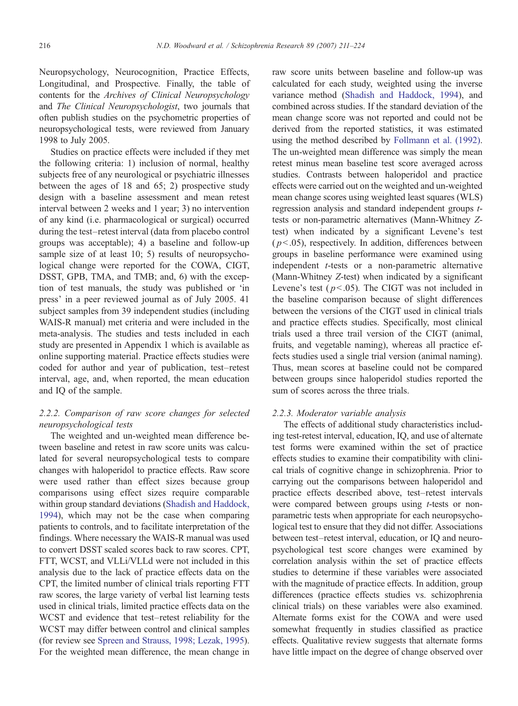Neuropsychology, Neurocognition, Practice Effects, Longitudinal, and Prospective. Finally, the table of contents for the Archives of Clinical Neuropsychology and The Clinical Neuropsychologist, two journals that often publish studies on the psychometric properties of neuropsychological tests, were reviewed from January 1998 to July 2005.

Studies on practice effects were included if they met the following criteria: 1) inclusion of normal, healthy subjects free of any neurological or psychiatric illnesses between the ages of 18 and 65; 2) prospective study design with a baseline assessment and mean retest interval between 2 weeks and 1 year; 3) no intervention of any kind (i.e. pharmacological or surgical) occurred during the test–retest interval (data from placebo control groups was acceptable); 4) a baseline and follow-up sample size of at least 10; 5) results of neuropsychological change were reported for the COWA, CIGT, DSST, GPB, TMA, and TMB; and, 6) with the exception of test manuals, the study was published or 'in press' in a peer reviewed journal as of July 2005. 41 subject samples from 39 independent studies (including WAIS-R manual) met criteria and were included in the meta-analysis. The studies and tests included in each study are presented in Appendix 1 which is available as online supporting material. Practice effects studies were coded for author and year of publication, test–retest interval, age, and, when reported, the mean education and IQ of the sample.

## 2.2.2. Comparison of raw score changes for selected neuropsychological tests

The weighted and un-weighted mean difference between baseline and retest in raw score units was calculated for several neuropsychological tests to compare changes with haloperidol to practice effects. Raw score were used rather than effect sizes because group comparisons using effect sizes require comparable within group standard deviations ([Shadish and Haddock,](#page-13-0) [1994\)](#page-13-0), which may not be the case when comparing patients to controls, and to facilitate interpretation of the findings. Where necessary the WAIS-R manual was used to convert DSST scaled scores back to raw scores. CPT, FTT, WCST, and VLLi/VLLd were not included in this analysis due to the lack of practice effects data on the CPT, the limited number of clinical trials reporting FTT raw scores, the large variety of verbal list learning tests used in clinical trials, limited practice effects data on the WCST and evidence that test–retest reliability for the WCST may differ between control and clinical samples (for review see [Spreen and Strauss, 1998; Lezak, 1995\)](#page-13-0). For the weighted mean difference, the mean change in raw score units between baseline and follow-up was calculated for each study, weighted using the inverse variance method ([Shadish and Haddock, 1994](#page-13-0)), and combined across studies. If the standard deviation of the mean change score was not reported and could not be derived from the reported statistics, it was estimated using the method described by [Follmann et al. \(1992\).](#page-11-0) The un-weighted mean difference was simply the mean retest minus mean baseline test score averaged across studies. Contrasts between haloperidol and practice effects were carried out on the weighted and un-weighted mean change scores using weighted least squares (WLS) regression analysis and standard independent groups ttests or non-parametric alternatives (Mann-Whitney Ztest) when indicated by a significant Levene's test  $(p<.05)$ , respectively. In addition, differences between groups in baseline performance were examined using independent t-tests or a non-parametric alternative (Mann-Whitney Z-test) when indicated by a significant Levene's test ( $p<0.05$ ). The CIGT was not included in the baseline comparison because of slight differences between the versions of the CIGT used in clinical trials and practice effects studies. Specifically, most clinical trials used a three trail version of the CIGT (animal, fruits, and vegetable naming), whereas all practice effects studies used a single trial version (animal naming). Thus, mean scores at baseline could not be compared between groups since haloperidol studies reported the sum of scores across the three trials.

# 2.2.3. Moderator variable analysis

The effects of additional study characteristics including test-retest interval, education, IQ, and use of alternate test forms were examined within the set of practice effects studies to examine their compatibility with clinical trials of cognitive change in schizophrenia. Prior to carrying out the comparisons between haloperidol and practice effects described above, test–retest intervals were compared between groups using *t*-tests or nonparametric tests when appropriate for each neuropsychological test to ensure that they did not differ. Associations between test–retest interval, education, or IQ and neuropsychological test score changes were examined by correlation analysis within the set of practice effects studies to determine if these variables were associated with the magnitude of practice effects. In addition, group differences (practice effects studies vs. schizophrenia clinical trials) on these variables were also examined. Alternate forms exist for the COWA and were used somewhat frequently in studies classified as practice effects. Qualitative review suggests that alternate forms have little impact on the degree of change observed over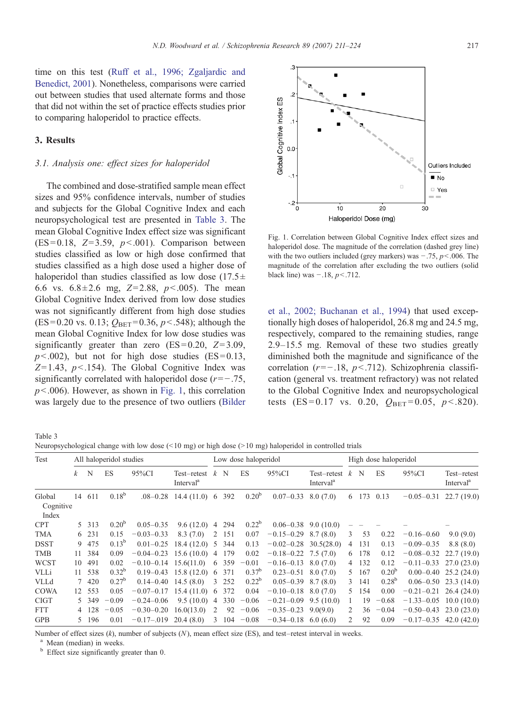time on this test [\(Ruff et al., 1996; Zgaljardic and](#page-12-0) [Benedict, 2001](#page-12-0)). Nonetheless, comparisons were carried out between studies that used alternate forms and those that did not within the set of practice effects studies prior to comparing haloperidol to practice effects.

#### 3. Results

#### 3.1. Analysis one: effect sizes for haloperidol

The combined and dose-stratified sample mean effect sizes and 95% confidence intervals, number of studies and subjects for the Global Cognitive Index and each neuropsychological test are presented in Table 3. The mean Global Cognitive Index effect size was significant (ES = 0.18,  $Z = 3.59$ ,  $p < .001$ ). Comparison between studies classified as low or high dose confirmed that studies classified as a high dose used a higher dose of haloperidol than studies classified as low dose  $(17.5 \pm$ 6.6 vs.  $6.8 \pm 2.6$  mg,  $Z=2.88$ ,  $p<0.005$ ). The mean Global Cognitive Index derived from low dose studies was not significantly different from high dose studies (ES = 0.20 vs. 0.13;  $Q_{\text{BET}}$  = 0.36, p < .548); although the mean Global Cognitive Index for low dose studies was significantly greater than zero  $(ES = 0.20, Z = 3.09,$  $p<.002$ ), but not for high dose studies (ES = 0.13,  $Z=1.43$ ,  $p<.154$ ). The Global Cognitive Index was significantly correlated with haloperidol dose  $(r=-.75,$  $p<.006$ ). However, as shown in Fig. 1, this correlation was largely due to the presence of two outliers [\(Bilder](#page-11-0)



Fig. 1. Correlation between Global Cognitive Index effect sizes and haloperidol dose. The magnitude of the correlation (dashed grey line) with the two outliers included (grey markers) was  $-.75, p<.006$ . The magnitude of the correlation after excluding the two outliers (solid black line) was  $-.18$ ,  $p<.712$ .

[et al., 2002; Buchanan et al., 1994\)](#page-11-0) that used exceptionally high doses of haloperidol, 26.8 mg and 24.5 mg, respectively, compared to the remaining studies, range 2.9–15.5 mg. Removal of these two studies greatly diminished both the magnitude and significance of the correlation ( $r=-.18$ ,  $p<.712$ ). Schizophrenia classification (general vs. treatment refractory) was not related to the Global Cognitive Index and neuropsychological tests (ES = 0.17 vs. 0.20,  $Q_{\text{BET}}$  = 0.05,  $p$  < 820).

Table 3

Neuropsychological change with low dose  $(10 \text{ mg})$  or high dose  $(210 \text{ mg})$  haloperidol in controlled trials

| Test                |          | All haloperidol studies |            |                                  |                                      |   |       | Low dose haloperidol |                           |                                            | High dose haloperidol |     |             |                            |                                      |
|---------------------|----------|-------------------------|------------|----------------------------------|--------------------------------------|---|-------|----------------------|---------------------------|--------------------------------------------|-----------------------|-----|-------------|----------------------------|--------------------------------------|
|                     | $\kappa$ | N                       | ES         | 95%CI                            | Test-retest<br>Interval <sup>a</sup> |   | $k$ N | ES                   | 95%CI                     | Test-retest $k$ N<br>Interval <sup>a</sup> |                       |     | ES          | 95%CI                      | Test-retest<br>Interval <sup>a</sup> |
| Global<br>Cognitive | 14       | 611                     | $0.18^{b}$ |                                  | $.08-0.28$ 14.4 (11.0) 6 392         |   |       | 0.20 <sup>b</sup>    | $0.07 - 0.33$ 8.0 (7.0)   |                                            | 6                     |     | 173 0.13    | $-0.05-0.31$ 22.7 (19.0)   |                                      |
| Index               |          |                         |            |                                  |                                      |   |       |                      |                           |                                            |                       |     |             |                            |                                      |
| <b>CPT</b>          |          | 5 313                   | $0.20^{b}$ | $0.05 - 0.35$                    | $9.6(12.0)$ 4 294                    |   |       | $0.22^{b}$           |                           | $0.06 - 0.38$ 9.0 (10.0)                   |                       |     |             |                            |                                      |
| <b>TMA</b>          |          | 6 231                   | 0.15       | $-0.03 - 0.33$                   | 8.3(7.0)                             |   | 2 151 | 0.07                 | $-0.15 - 0.29$ 8.7 (8.0)  |                                            | 3                     | 53  | 0.22        | $-0.16 - 0.60$             | 9.0(9.0)                             |
| <b>DSST</b>         | 9        | 475                     | $0.13^{b}$ | $0.01 - 0.25$                    | $18.4(12.0)$ 5 344                   |   |       | 0.13                 | $-0.02 - 0.28$ 30.5(28.0) |                                            | 4                     | 131 | 0.13        | $-0.09 - 0.35$             | 8.8(8.0)                             |
| <b>TMB</b>          | 11       | 384                     | 0.09       | $-0.04 - 0.23$ 15.6 (10.0) 4 179 |                                      |   |       | 0.02                 | $-0.18 - 0.22$ 7.5 (7.0)  |                                            | 6                     | 178 | 0.12        | $-0.08 - 0.32$ 22.7 (19.0) |                                      |
| <b>WCST</b>         | 10       | 491                     | 0.02       | $-0.10 - 0.14$ 15.6(11.0)        |                                      |   | 6 359 | $-0.01$              | $-0.16 - 0.13$ 8.0 (7.0)  |                                            | 4                     | 132 | 0.12        | $-0.11 - 0.33$ 27.0 (23.0) |                                      |
| VLLi                | 11       | 538                     | $0.32^{b}$ |                                  | $0.19 - 0.43$ 15.8 (12.0) 6 371      |   |       | $0.37^{b}$           | $0.23 - 0.51$ 8.0 (7.0)   |                                            | 5.                    | 167 | $0.20^{b}$  |                            | $0.00-0.40$ 25.2 (24.0)              |
| <b>VLLd</b>         |          | 7 420                   | $0.27^{b}$ |                                  | $0.14 - 0.40$ 14.5 (8.0)             |   | 3 252 | $0.22^{b}$           | $0.05 - 0.39$ 8.7 (8.0)   |                                            | 3                     | 141 | $0.28^{b}$  |                            | $0.06 - 0.50$ 23.3 (14.0)            |
| <b>COWA</b>         | 12       | 553                     | 0.05       | $-0.07-0.17$ 15.4 (11.0) 6       |                                      |   | 372   | 0.04                 | $-0.10 - 0.18$ 8.0 (7.0)  |                                            | 5.                    | 154 | 0.00        | $-0.21 - 0.21$ 26.4 (24.0) |                                      |
| <b>CIGT</b>         | 5.       | 349                     | $-0.09$    | $-0.24 - 0.06$                   | $9.5(10.0)$ 4                        |   | 330   | $-0.06$              | $-0.21 - 0.09$ 9.5 (10.0) |                                            |                       | 19. | $-0.68$     | $-1.33 - 0.05$ 10.0 (10.0) |                                      |
| <b>FTT</b>          | 4        | 128                     | $-0.05$    | $-0.30 - 0.20$                   | 16.0(13.0)                           | 2 | 92    | $-0.06$              | $-0.35 - 0.23$ 9.0(9.0)   |                                            | 2                     |     | $36 - 0.04$ | $-0.50 - 0.43$ 23.0 (23.0) |                                      |
| <b>GPB</b>          | 5.       | 196                     | 0.01       | $-0.17-0.019$                    | 20.4(8.0)                            | 3 | 104   | $-0.08$              | $-0.34 - 0.18$ 6.0 (6.0)  |                                            | $\mathfrak{D}$        | 92  | 0.09        | $-0.17 - 0.35$ 42.0 (42.0) |                                      |

Number of effect sizes  $(k)$ , number of subjects  $(N)$ , mean effect size (ES), and test–retest interval in weeks. <sup>a</sup> Mean (median) in weeks.

<sup>b</sup> Effect size significantly greater than 0.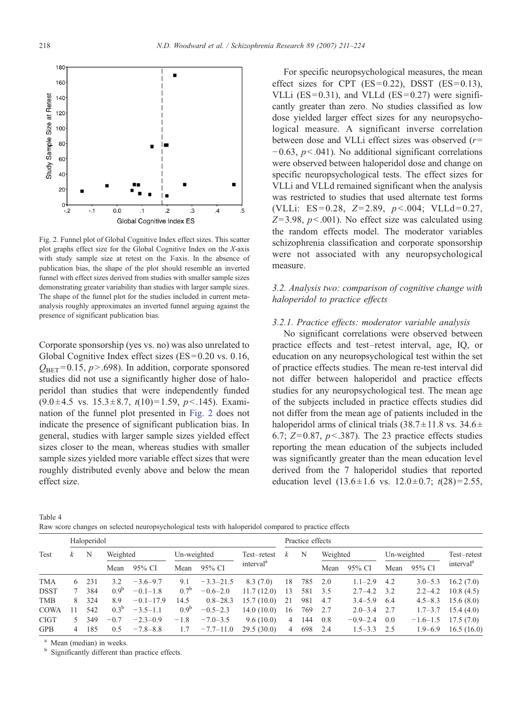<span id="page-7-0"></span>

Fig. 2. Funnel plot of Global Cognitive Index effect sizes. This scatter plot graphs effect size for the Global Cognitive Index on the X-axis with study sample size at retest on the Y-axis. In the absence of publication bias, the shape of the plot should resemble an inverted funnel with effect sizes derived from studies with smaller sample sizes demonstrating greater variability than studies with larger sample sizes. The shape of the funnel plot for the studies included in current metaanalysis roughly approximates an inverted funnel arguing against the presence of significant publication bias.

Corporate sponsorship (yes vs. no) was also unrelated to Global Cognitive Index effect sizes (ES=0.20 vs. 0.16,  $Q_{\text{BET}} = 0.15$ ,  $p > .698$ ). In addition, corporate sponsored studies did not use a significantly higher dose of haloperidol than studies that were independently funded  $(9.0 \pm 4.5 \text{ vs. } 15.3 \pm 8.7, t(10) = 1.59, p<1.45)$ . Examination of the funnel plot presented in Fig. 2 does not indicate the presence of significant publication bias. In general, studies with larger sample sizes yielded effect sizes closer to the mean, whereas studies with smaller sample sizes yielded more variable effect sizes that were roughly distributed evenly above and below the mean effect size.

For specific neuropsychological measures, the mean effect sizes for CPT  $(ES=0.22)$ , DSST  $(ES=0.13)$ , VLLi ( $ES = 0.31$ ), and VLLd ( $ES = 0.27$ ) were significantly greater than zero. No studies classified as low dose yielded larger effect sizes for any neuropsychological measure. A significant inverse correlation between dose and VLLi effect sizes was observed  $(r=$  $-0.63$ ,  $p < .041$ ). No additional significant correlations were observed between haloperidol dose and change on specific neuropsychological tests. The effect sizes for VLLi and VLLd remained significant when the analysis was restricted to studies that used alternate test forms (VLLi: ES = 0.28,  $Z=2.89$ ,  $p < .004$ ; VLLd = 0.27,  $Z=3.98$ ,  $p<.001$ ). No effect size was calculated using the random effects model. The moderator variables schizophrenia classification and corporate sponsorship were not associated with any neuropsychological measure.

# 3.2. Analysis two: comparison of cognitive change with haloperidol to practice effects

#### 3.2.1. Practice effects: moderator variable analysis

No significant correlations were observed between practice effects and test–retest interval, age, IQ, or education on any neuropsychological test within the set of practice effects studies. The mean re-test interval did not differ between haloperidol and practice effects studies for any neuropsychological test. The mean age of the subjects included in practice effects studies did not differ from the mean age of patients included in the haloperidol arms of clinical trials  $(38.7 \pm 11.8 \text{ vs. } 34.6 \pm 11.8 \text{ vs. } 34.6 \pm 11.8 \text{ vs. } 34.6 \pm 11.8 \text{ vs. } 34.6 \pm 11.8 \text{ vs. } 34.6 \pm 11.8 \text{ vs. } 34.6 \pm 11.8 \text{ vs. } 34.6 \pm 11.8 \text{ vs. } 34.6 \pm 11.8 \text{ vs. } 34.6 \pm 11.8 \text{ vs. } 34.$ 6.7;  $Z=0.87$ ,  $p<.387$ ). The 23 practice effects studies reporting the mean education of the subjects included was significantly greater than the mean education level derived from the 7 haloperidol studies that reported education level  $(13.6 \pm 1.6 \text{ vs. } 12.0 \pm 0.7; t(28) = 2.55,$ 

Table 4

Raw score changes on selected neuropsychological tests with haloperidol compared to practice effects

| Test        | Haloperidol |     |           |               |                  |               |                       |    | Practice effects |          |              |             |              |                       |  |  |
|-------------|-------------|-----|-----------|---------------|------------------|---------------|-----------------------|----|------------------|----------|--------------|-------------|--------------|-----------------------|--|--|
|             | k           | N   | Weighted  |               | Un-weighted      |               | Test-retest           | k  | N                | Weighted |              | Un-weighted |              | Test-retest           |  |  |
|             |             |     | Mean      | 95% CI        | Mean             | 95% CI        | interval <sup>a</sup> |    |                  | Mean     | 95% CI       | Mean        | 95% CI       | interval <sup>a</sup> |  |  |
| <b>TMA</b>  | 6           | 231 | 3.2       | $-3.6 - 9.7$  | 9.1              | $-3.3 - 21.5$ | 8.3(7.0)              | 18 | 785              | 2.0      | $1.1 - 2.9$  | 4.2         | $3.0 - 5.3$  | 16.2(7.0)             |  |  |
| <b>DSST</b> |             | 384 | $0.9^{b}$ | $-0.1 - 1.8$  | $0.7^{b}$        | $-0.6 - 2.0$  | 11.7(12.0)            | 13 | 581              | 3.5      | $2.7 - 4.2$  | 3.2         | $2.2 - 4.2$  | 10.8(4.5)             |  |  |
| <b>TMB</b>  | 8           | 324 | 8.9       | $-0.1 - 17.9$ | 14.5             | $0.8 - 28.3$  | 15.7 (10.0)           | 21 | 981              | 4.7      | $3.4 - 5.9$  | 6.4         | $4.5 - 8.3$  | 15.6(8.0)             |  |  |
| <b>COWA</b> |             | 542 | $0.3^{b}$ | $-3.5-1.1$    | 0.9 <sup>b</sup> | $-0.5-2.3$    | 14.0 (10.0)           | 16 | 769              | 2.7      | $2.0 - 3.4$  |             | $1.7 - 3.7$  | 15.4(4.0)             |  |  |
| <b>CIGT</b> |             | 349 | $-0.7$    | $-2.3 - 0.9$  | $-1.8$           | $-7.0 - 3.5$  | 9.6(10.0)             | 4  | 144              | 0.8      | $-0.9 - 2.4$ | 0.0         | $-1.6 - 1.5$ | 17.5(7.0)             |  |  |
| <b>GPB</b>  | 4           | 185 | 0.5       | $-7.8 - 8.8$  | 1.7              | $-7.7 - 11.0$ | 29.5(30.0)            | 4  | 698              | 2.4      | $1.5 - 3.3$  | 2.5         | $1.9 - 6.9$  | 16.5(16.0)            |  |  |

<sup>a</sup> Mean (median) in weeks.

<sup>b</sup> Significantly different than practice effects.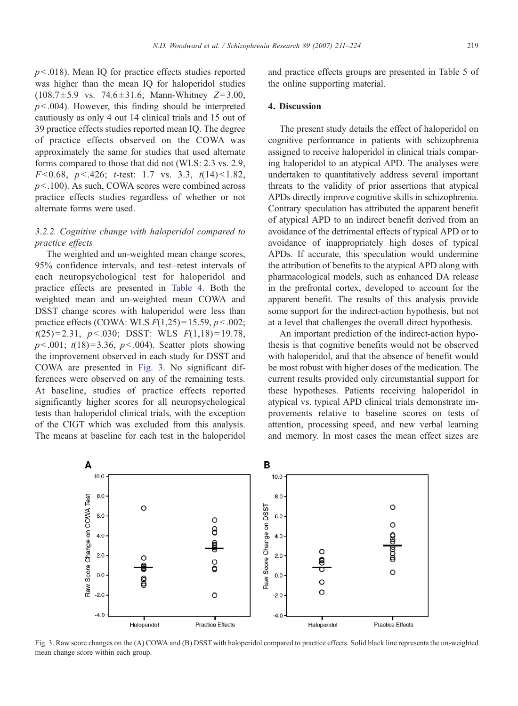$p<0.018$ ). Mean IQ for practice effects studies reported was higher than the mean IQ for haloperidol studies  $(108.7 \pm 5.9 \text{ vs. } 74.6 \pm 31.6; \text{ Mann-Whitney } Z=3.00,$  $p<.004$ ). However, this finding should be interpreted cautiously as only 4 out 14 clinical trials and 15 out of 39 practice effects studies reported mean IQ. The degree of practice effects observed on the COWA was approximately the same for studies that used alternate forms compared to those that did not (WLS: 2.3 vs. 2.9,  $F<0.68$ ,  $p<.426$ ; t-test: 1.7 vs. 3.3,  $t(14)<1.82$ ,  $p<100$ ). As such, COWA scores were combined across practice effects studies regardless of whether or not alternate forms were used.

## 3.2.2. Cognitive change with haloperidol compared to practice effects

The weighted and un-weighted mean change scores, 95% confidence intervals, and test–retest intervals of each neuropsychological test for haloperidol and practice effects are presented in [Table 4.](#page-7-0) Both the weighted mean and un-weighted mean COWA and DSST change scores with haloperidol were less than practice effects (COWA: WLS  $F(1,25) = 15.59, p < .002;$  $t(25)=2.31, p<0.30;$  DSST: WLS  $F(1,18)=19.78,$  $p < .001$ ;  $t(18) = 3.36$ ,  $p < .004$ ). Scatter plots showing the improvement observed in each study for DSST and COWA are presented in Fig. 3. No significant differences were observed on any of the remaining tests. At baseline, studies of practice effects reported significantly higher scores for all neuropsychological tests than haloperidol clinical trials, with the exception of the CIGT which was excluded from this analysis. The means at baseline for each test in the haloperidol and practice effects groups are presented in Table 5 of the online supporting material.

#### 4. Discussion

The present study details the effect of haloperidol on cognitive performance in patients with schizophrenia assigned to receive haloperidol in clinical trials comparing haloperidol to an atypical APD. The analyses were undertaken to quantitatively address several important threats to the validity of prior assertions that atypical APDs directly improve cognitive skills in schizophrenia. Contrary speculation has attributed the apparent benefit of atypical APD to an indirect benefit derived from an avoidance of the detrimental effects of typical APD or to avoidance of inappropriately high doses of typical APDs. If accurate, this speculation would undermine the attribution of benefits to the atypical APD along with pharmacological models, such as enhanced DA release in the prefrontal cortex, developed to account for the apparent benefit. The results of this analysis provide some support for the indirect-action hypothesis, but not at a level that challenges the overall direct hypothesis.

An important prediction of the indirect-action hypothesis is that cognitive benefits would not be observed with haloperidol, and that the absence of benefit would be most robust with higher doses of the medication. The current results provided only circumstantial support for these hypotheses. Patients receiving haloperidol in atypical vs. typical APD clinical trials demonstrate improvements relative to baseline scores on tests of attention, processing speed, and new verbal learning and memory. In most cases the mean effect sizes are



Fig. 3. Raw score changes on the (A) COWA and (B) DSST with haloperidol compared to practice effects. Solid black line represents the un-weighted mean change score within each group.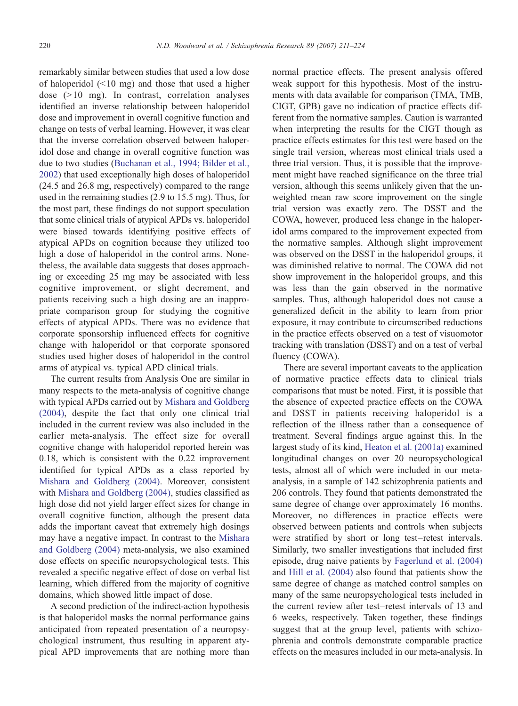remarkably similar between studies that used a low dose of haloperidol  $(510 \text{ mg})$  and those that used a higher dose  $(>10$  mg). In contrast, correlation analyses identified an inverse relationship between haloperidol dose and improvement in overall cognitive function and change on tests of verbal learning. However, it was clear that the inverse correlation observed between haloperidol dose and change in overall cognitive function was due to two studies [\(Buchanan et al., 1994; Bilder et al.,](#page-11-0) [2002](#page-11-0)) that used exceptionally high doses of haloperidol (24.5 and 26.8 mg, respectively) compared to the range used in the remaining studies (2.9 to 15.5 mg). Thus, for the most part, these findings do not support speculation that some clinical trials of atypical APDs vs. haloperidol were biased towards identifying positive effects of atypical APDs on cognition because they utilized too high a dose of haloperidol in the control arms. Nonetheless, the available data suggests that doses approaching or exceeding 25 mg may be associated with less cognitive improvement, or slight decrement, and patients receiving such a high dosing are an inappropriate comparison group for studying the cognitive effects of atypical APDs. There was no evidence that corporate sponsorship influenced effects for cognitive change with haloperidol or that corporate sponsored studies used higher doses of haloperidol in the control arms of atypical vs. typical APD clinical trials.

The current results from Analysis One are similar in many respects to the meta-analysis of cognitive change with typical APDs carried out by [Mishara and Goldberg](#page-12-0) [\(2004\),](#page-12-0) despite the fact that only one clinical trial included in the current review was also included in the earlier meta-analysis. The effect size for overall cognitive change with haloperidol reported herein was 0.18, which is consistent with the 0.22 improvement identified for typical APDs as a class reported by [Mishara and Goldberg \(2004\)](#page-12-0). Moreover, consistent with [Mishara and Goldberg \(2004\)](#page-12-0), studies classified as high dose did not yield larger effect sizes for change in overall cognitive function, although the present data adds the important caveat that extremely high dosings may have a negative impact. In contrast to the [Mishara](#page-12-0) [and Goldberg \(2004\)](#page-12-0) meta-analysis, we also examined dose effects on specific neuropsychological tests. This revealed a specific negative effect of dose on verbal list learning, which differed from the majority of cognitive domains, which showed little impact of dose.

A second prediction of the indirect-action hypothesis is that haloperidol masks the normal performance gains anticipated from repeated presentation of a neuropsychological instrument, thus resulting in apparent atypical APD improvements that are nothing more than normal practice effects. The present analysis offered weak support for this hypothesis. Most of the instruments with data available for comparison (TMA, TMB, CIGT, GPB) gave no indication of practice effects different from the normative samples. Caution is warranted when interpreting the results for the CIGT though as practice effects estimates for this test were based on the single trail version, whereas most clinical trials used a three trial version. Thus, it is possible that the improvement might have reached significance on the three trial version, although this seems unlikely given that the unweighted mean raw score improvement on the single trial version was exactly zero. The DSST and the COWA, however, produced less change in the haloperidol arms compared to the improvement expected from the normative samples. Although slight improvement was observed on the DSST in the haloperidol groups, it was diminished relative to normal. The COWA did not show improvement in the haloperidol groups, and this was less than the gain observed in the normative samples. Thus, although haloperidol does not cause a generalized deficit in the ability to learn from prior exposure, it may contribute to circumscribed reductions in the practice effects observed on a test of visuomotor tracking with translation (DSST) and on a test of verbal fluency (COWA).

There are several important caveats to the application of normative practice effects data to clinical trials comparisons that must be noted. First, it is possible that the absence of expected practice effects on the COWA and DSST in patients receiving haloperidol is a reflection of the illness rather than a consequence of treatment. Several findings argue against this. In the largest study of its kind, [Heaton et al. \(2001a\)](#page-11-0) examined longitudinal changes on over 20 neuropsychological tests, almost all of which were included in our metaanalysis, in a sample of 142 schizophrenia patients and 206 controls. They found that patients demonstrated the same degree of change over approximately 16 months. Moreover, no differences in practice effects were observed between patients and controls when subjects were stratified by short or long test–retest intervals. Similarly, two smaller investigations that included first episode, drug naive patients by [Fagerlund et al. \(2004\)](#page-11-0) and [Hill et al. \(2004\)](#page-12-0) also found that patients show the same degree of change as matched control samples on many of the same neuropsychological tests included in the current review after test–retest intervals of 13 and 6 weeks, respectively. Taken together, these findings suggest that at the group level, patients with schizophrenia and controls demonstrate comparable practice effects on the measures included in our meta-analysis. In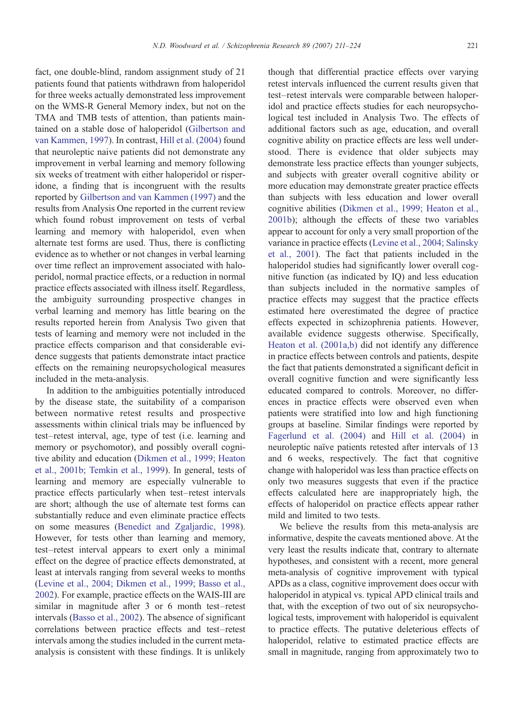fact, one double-blind, random assignment study of 21 patients found that patients withdrawn from haloperidol for three weeks actually demonstrated less improvement on the WMS-R General Memory index, but not on the TMA and TMB tests of attention, than patients maintained on a stable dose of haloperidol [\(Gilbertson and](#page-11-0) [van Kammen, 1997](#page-11-0)). In contrast, [Hill et al. \(2004\)](#page-12-0) found that neuroleptic naive patients did not demonstrate any improvement in verbal learning and memory following six weeks of treatment with either haloperidol or risperidone, a finding that is incongruent with the results reported by [Gilbertson and van Kammen \(1997\)](#page-11-0) and the results from Analysis One reported in the current review which found robust improvement on tests of verbal learning and memory with haloperidol, even when alternate test forms are used. Thus, there is conflicting evidence as to whether or not changes in verbal learning over time reflect an improvement associated with haloperidol, normal practice effects, or a reduction in normal practice effects associated with illness itself. Regardless, the ambiguity surrounding prospective changes in verbal learning and memory has little bearing on the results reported herein from Analysis Two given that tests of learning and memory were not included in the practice effects comparison and that considerable evidence suggests that patients demonstrate intact practice effects on the remaining neuropsychological measures included in the meta-analysis.

In addition to the ambiguities potentially introduced by the disease state, the suitability of a comparison between normative retest results and prospective assessments within clinical trials may be influenced by test–retest interval, age, type of test (i.e. learning and memory or psychomotor), and possibly overall cognitive ability and education [\(Dikmen et al., 1999; Heaton](#page-11-0) [et al., 2001b; Temkin et al., 1999](#page-11-0)). In general, tests of learning and memory are especially vulnerable to practice effects particularly when test–retest intervals are short; although the use of alternate test forms can substantially reduce and even eliminate practice effects on some measures ([Benedict and Zgaljardic, 1998](#page-11-0)). However, for tests other than learning and memory, test–retest interval appears to exert only a minimal effect on the degree of practice effects demonstrated, at least at intervals ranging from several weeks to months [\(Levine et al., 2004; Dikmen et al., 1999; Basso et al.,](#page-12-0) [2002\)](#page-12-0). For example, practice effects on the WAIS-III are similar in magnitude after 3 or 6 month test–retest intervals [\(Basso et al., 2002](#page-11-0)). The absence of significant correlations between practice effects and test–retest intervals among the studies included in the current metaanalysis is consistent with these findings. It is unlikely

though that differential practice effects over varying retest intervals influenced the current results given that test–retest intervals were comparable between haloperidol and practice effects studies for each neuropsychological test included in Analysis Two. The effects of additional factors such as age, education, and overall cognitive ability on practice effects are less well understood. There is evidence that older subjects may demonstrate less practice effects than younger subjects, and subjects with greater overall cognitive ability or more education may demonstrate greater practice effects than subjects with less education and lower overall cognitive abilities [\(Dikmen et al., 1999; Heaton et al.,](#page-11-0) [2001b\)](#page-11-0); although the effects of these two variables appear to account for only a very small proportion of the variance in practice effects ([Levine et al., 2004; Salinsky](#page-12-0) [et al., 2001](#page-12-0)). The fact that patients included in the haloperidol studies had significantly lower overall cognitive function (as indicated by IQ) and less education than subjects included in the normative samples of practice effects may suggest that the practice effects estimated here overestimated the degree of practice effects expected in schizophrenia patients. However, available evidence suggests otherwise. Specifically, [Heaton et al. \(2001a,b\)](#page-11-0) did not identify any difference in practice effects between controls and patients, despite the fact that patients demonstrated a significant deficit in overall cognitive function and were significantly less educated compared to controls. Moreover, no differences in practice effects were observed even when patients were stratified into low and high functioning groups at baseline. Similar findings were reported by [Fagerlund et al. \(2004\)](#page-11-0) and [Hill et al. \(2004\)](#page-12-0) in neuroleptic naïve patients retested after intervals of 13 and 6 weeks, respectively. The fact that cognitive change with haloperidol was less than practice effects on only two measures suggests that even if the practice effects calculated here are inappropriately high, the effects of haloperidol on practice effects appear rather mild and limited to two tests.

We believe the results from this meta-analysis are informative, despite the caveats mentioned above. At the very least the results indicate that, contrary to alternate hypotheses, and consistent with a recent, more general meta-analysis of cognitive improvement with typical APDs as a class, cognitive improvement does occur with haloperidol in atypical vs. typical APD clinical trails and that, with the exception of two out of six neuropsychological tests, improvement with haloperidol is equivalent to practice effects. The putative deleterious effects of haloperidol, relative to estimated practice effects are small in magnitude, ranging from approximately two to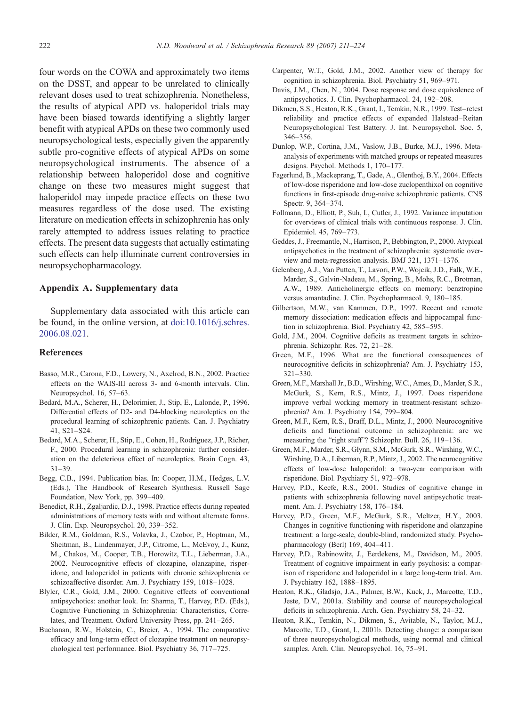<span id="page-11-0"></span>four words on the COWA and approximately two items on the DSST, and appear to be unrelated to clinically relevant doses used to treat schizophrenia. Nonetheless, the results of atypical APD vs. haloperidol trials may have been biased towards identifying a slightly larger benefit with atypical APDs on these two commonly used neuropsychological tests, especially given the apparently subtle pro-cognitive effects of atypical APDs on some neuropsychological instruments. The absence of a relationship between haloperidol dose and cognitive change on these two measures might suggest that haloperidol may impede practice effects on these two measures regardless of the dose used. The existing literature on medication effects in schizophrenia has only rarely attempted to address issues relating to practice effects. The present data suggests that actually estimating such effects can help illuminate current controversies in neuropsychopharmacology.

## Appendix A. Supplementary data

Supplementary data associated with this article can be found, in the online version, at [doi:10.1016/j.schres.](http://dx.doi.org/doi:10.1016/j.schres.2006.08.021) [2006.08.021.](http://dx.doi.org/doi:10.1016/j.schres.2006.08.021)

#### References

- Basso, M.R., Carona, F.D., Lowery, N., Axelrod, B.N., 2002. Practice effects on the WAIS-III across 3- and 6-month intervals. Clin. Neuropsychol. 16, 57–63.
- Bedard, M.A., Scherer, H., Delorimier, J., Stip, E., Lalonde, P., 1996. Differential effects of D2- and D4-blocking neuroleptics on the procedural learning of schizophrenic patients. Can. J. Psychiatry 41, S21–S24.
- Bedard, M.A., Scherer, H., Stip, E., Cohen, H., Rodriguez, J.P., Richer, F., 2000. Procedural learning in schizophrenia: further consideration on the deleterious effect of neuroleptics. Brain Cogn. 43, 31–39.
- Begg, C.B., 1994. Publication bias. In: Cooper, H.M., Hedges, L.V. (Eds.), The Handbook of Research Synthesis. Russell Sage Foundation, New York, pp. 399–409.
- Benedict, R.H., Zgaljardic, D.J., 1998. Practice effects during repeated administrations of memory tests with and without alternate forms. J. Clin. Exp. Neuropsychol. 20, 339–352.
- Bilder, R.M., Goldman, R.S., Volavka, J., Czobor, P., Hoptman, M., Sheitman, B., Lindenmayer, J.P., Citrome, L., McEvoy, J., Kunz, M., Chakos, M., Cooper, T.B., Horowitz, T.L., Lieberman, J.A., 2002. Neurocognitive effects of clozapine, olanzapine, risperidone, and haloperidol in patients with chronic schizophrenia or schizoaffective disorder. Am. J. Psychiatry 159, 1018–1028.
- Blyler, C.R., Gold, J.M., 2000. Cognitive effects of conventional antipsychotics: another look. In: Sharma, T., Harvey, P.D. (Eds.), Cognitive Functioning in Schizophrenia: Characteristics, Correlates, and Treatment. Oxford University Press, pp. 241–265.
- Buchanan, R.W., Holstein, C., Breier, A., 1994. The comparative efficacy and long-term effect of clozapine treatment on neuropsychological test performance. Biol. Psychiatry 36, 717–725.
- Carpenter, W.T., Gold, J.M., 2002. Another view of therapy for cognition in schizophrenia. Biol. Psychiatry 51, 969–971.
- Davis, J.M., Chen, N., 2004. Dose response and dose equivalence of antipsychotics. J. Clin. Psychopharmacol. 24, 192–208.
- Dikmen, S.S., Heaton, R.K., Grant, I., Temkin, N.R., 1999. Test–retest reliability and practice effects of expanded Halstead–Reitan Neuropsychological Test Battery. J. Int. Neuropsychol. Soc. 5, 346–356.
- Dunlop, W.P., Cortina, J.M., Vaslow, J.B., Burke, M.J., 1996. Metaanalysis of experiments with matched groups or repeated measures designs. Psychol. Methods 1, 170–177.
- Fagerlund, B., Mackeprang, T., Gade, A., Glenthoj, B.Y., 2004. Effects of low-dose risperidone and low-dose zuclopenthixol on cognitive functions in first-episode drug-naive schizophrenic patients. CNS Spectr. 9, 364–374.
- Follmann, D., Elliott, P., Suh, I., Cutler, J., 1992. Variance imputation for overviews of clinical trials with continuous response. J. Clin. Epidemiol. 45, 769–773.
- Geddes, J., Freemantle, N., Harrison, P., Bebbington, P., 2000. Atypical antipsychotics in the treatment of schizophrenia: systematic overview and meta-regression analysis. BMJ 321, 1371–1376.
- Gelenberg, A.J., Van Putten, T., Lavori, P.W., Wojcik, J.D., Falk, W.E., Marder, S., Galvin-Nadeau, M., Spring, B., Mohs, R.C., Brotman, A.W., 1989. Anticholinergic effects on memory: benztropine versus amantadine. J. Clin. Psychopharmacol. 9, 180–185.
- Gilbertson, M.W., van Kammen, D.P., 1997. Recent and remote memory dissociation: medication effects and hippocampal function in schizophrenia. Biol. Psychiatry 42, 585–595.
- Gold, J.M., 2004. Cognitive deficits as treatment targets in schizophrenia. Schizophr. Res. 72, 21–28.
- Green, M.F., 1996. What are the functional consequences of neurocognitive deficits in schizophrenia? Am. J. Psychiatry 153, 321–330.
- Green, M.F., Marshall Jr., B.D., Wirshing, W.C., Ames, D., Marder, S.R., McGurk, S., Kern, R.S., Mintz, J., 1997. Does risperidone improve verbal working memory in treatment-resistant schizophrenia? Am. J. Psychiatry 154, 799–804.
- Green, M.F., Kern, R.S., Braff, D.L., Mintz, J., 2000. Neurocognitive deficits and functional outcome in schizophrenia: are we measuring the "right stuff"? Schizophr. Bull. 26, 119–136.
- Green, M.F., Marder, S.R., Glynn, S.M., McGurk, S.R., Wirshing, W.C., Wirshing, D.A., Liberman, R.P., Mintz, J., 2002. The neurocognitive effects of low-dose haloperidol: a two-year comparison with risperidone. Biol. Psychiatry 51, 972–978.
- Harvey, P.D., Keefe, R.S., 2001. Studies of cognitive change in patients with schizophrenia following novel antipsychotic treatment. Am. J. Psychiatry 158, 176–184.
- Harvey, P.D., Green, M.F., McGurk, S.R., Meltzer, H.Y., 2003. Changes in cognitive functioning with risperidone and olanzapine treatment: a large-scale, double-blind, randomized study. Psychopharmacology (Berl) 169, 404–411.
- Harvey, P.D., Rabinowitz, J., Eerdekens, M., Davidson, M., 2005. Treatment of cognitive impairment in early psychosis: a comparison of risperidone and haloperidol in a large long-term trial. Am. J. Psychiatry 162, 1888–1895.
- Heaton, R.K., Gladsjo, J.A., Palmer, B.W., Kuck, J., Marcotte, T.D., Jeste, D.V., 2001a. Stability and course of neuropsychological deficits in schizophrenia. Arch. Gen. Psychiatry 58, 24–32.
- Heaton, R.K., Temkin, N., Dikmen, S., Avitable, N., Taylor, M.J., Marcotte, T.D., Grant, I., 2001b. Detecting change: a comparison of three neuropsychological methods, using normal and clinical samples. Arch. Clin. Neuropsychol. 16, 75–91.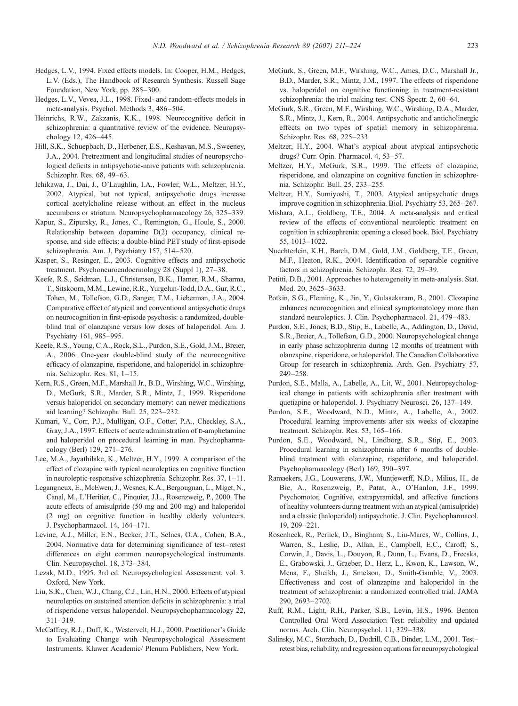- <span id="page-12-0"></span>Hedges, L.V., 1994. Fixed effects models. In: Cooper, H.M., Hedges, L.V. (Eds.), The Handbook of Research Synthesis. Russell Sage Foundation, New York, pp. 285–300.
- Hedges, L.V., Vevea, J.L., 1998. Fixed- and random-effects models in meta-analysis. Psychol. Methods 3, 486–504.
- Heinrichs, R.W., Zakzanis, K.K., 1998. Neurocognitive deficit in schizophrenia: a quantitative review of the evidence. Neuropsychology 12, 426–445.
- Hill, S.K., Schuepbach, D., Herbener, E.S., Keshavan, M.S., Sweeney, J.A., 2004. Pretreatment and longitudinal studies of neuropsychological deficits in antipsychotic-naive patients with schizophrenia. Schizophr. Res. 68, 49–63.
- Ichikawa, J., Dai, J., O'Laughlin, I.A., Fowler, W.L., Meltzer, H.Y., 2002. Atypical, but not typical, antipsychotic drugs increase cortical acetylcholine release without an effect in the nucleus accumbens or striatum. Neuropsychopharmacology 26, 325–339.
- Kapur, S., Zipursky, R., Jones, C., Remington, G., Houle, S., 2000. Relationship between dopamine D(2) occupancy, clinical response, and side effects: a double-blind PET study of first-episode schizophrenia. Am. J. Psychiatry 157, 514–520.
- Kasper, S., Resinger, E., 2003. Cognitive effects and antipsychotic treatment. Psychoneuroendocrinology 28 (Suppl 1), 27–38.
- Keefe, R.S., Seidman, L.J., Christensen, B.K., Hamer, R.M., Sharma, T., Sitskoorn, M.M., Lewine, R.R., Yurgelun-Todd, D.A., Gur, R.C., Tohen, M., Tollefson, G.D., Sanger, T.M., Lieberman, J.A., 2004. Comparative effect of atypical and conventional antipsychotic drugs on neurocognition in first-episode psychosis: a randomized, doubleblind trial of olanzapine versus low doses of haloperidol. Am. J. Psychiatry 161, 985–995.
- Keefe, R.S., Young, C.A., Rock, S.L., Purdon, S.E., Gold, J.M., Breier, A., 2006. One-year double-blind study of the neurocognitive efficacy of olanzapine, risperidone, and haloperidol in schizophrenia. Schizophr. Res. 81, 1–15.
- Kern, R.S., Green, M.F., Marshall Jr., B.D., Wirshing, W.C., Wirshing, D., McGurk, S.R., Marder, S.R., Mintz, J., 1999. Risperidone versus haloperidol on secondary memory: can newer medications aid learning? Schizophr. Bull. 25, 223–232.
- Kumari, V., Corr, P.J., Mulligan, O.F., Cotter, P.A., Checkley, S.A., Gray, J.A., 1997. Effects of acute administration of D-amphetamine and haloperidol on procedural learning in man. Psychopharmacology (Berl) 129, 271–276.
- Lee, M.A., Jayathilake, K., Meltzer, H.Y., 1999. A comparison of the effect of clozapine with typical neuroleptics on cognitive function in neuroleptic-responsive schizophrenia. Schizophr. Res. 37, 1–11.
- Legangneux, E., McEwen, J., Wesnes, K.A., Bergougnan, L., Miget, N., Canal, M., L'Heritier, C., Pinquier, J.L., Rosenzweig, P., 2000. The acute effects of amisulpride (50 mg and 200 mg) and haloperidol (2 mg) on cognitive function in healthy elderly volunteers. J. Psychopharmacol. 14, 164–171.
- Levine, A.J., Miller, E.N., Becker, J.T., Selnes, O.A., Cohen, B.A., 2004. Normative data for determining significance of test–retest differences on eight common neuropsychological instruments. Clin. Neuropsychol. 18, 373–384.
- Lezak, M.D., 1995. 3rd ed. Neuropsychological Assessment, vol. 3. Oxford, New York.
- Liu, S.K., Chen, W.J., Chang, C.J., Lin, H.N., 2000. Effects of atypical neuroleptics on sustained attention deficits in schizophrenia: a trial of risperidone versus haloperidol. Neuropsychopharmacology 22, 311–319.
- McCaffrey, R.J., Duff, K., Westervelt, H.J., 2000. Practitioner's Guide to Evaluating Change wtih Neuropsychological Assessment Instruments. Kluwer Academic/ Plenum Publishers, New York.
- McGurk, S., Green, M.F., Wirshing, W.C., Ames, D.C., Marshall Jr., B.D., Marder, S.R., Mintz, J.M., 1997. The effects of risperidone vs. haloperidol on cognitive functioning in treatment-resistant schizophrenia: the trial making test. CNS Spectr. 2, 60–64.
- McGurk, S.R., Green, M.F., Wirshing, W.C., Wirshing, D.A., Marder, S.R., Mintz, J., Kern, R., 2004. Antipsychotic and anticholinergic effects on two types of spatial memory in schizophrenia. Schizophr. Res. 68, 225–233.
- Meltzer, H.Y., 2004. What's atypical about atypical antipsychotic drugs? Curr. Opin. Pharmacol. 4, 53–57.
- Meltzer, H.Y., McGurk, S.R., 1999. The effects of clozapine, risperidone, and olanzapine on cognitive function in schizophrenia. Schizophr. Bull. 25, 233–255.
- Meltzer, H.Y., Sumiyoshi, T., 2003. Atypical antipsychotic drugs improve cognition in schizophrenia. Biol. Psychiatry 53, 265–267.
- Mishara, A.L., Goldberg, T.E., 2004. A meta-analysis and critical review of the effects of conventional neuroleptic treatment on cognition in schizophrenia: opening a closed book. Biol. Psychiatry 55, 1013–1022.
- Nuechterlein, K.H., Barch, D.M., Gold, J.M., Goldberg, T.E., Green, M.F., Heaton, R.K., 2004. Identification of separable cognitive factors in schizophrenia. Schizophr. Res. 72, 29–39.
- Petitti, D.B., 2001. Approaches to heterogeneity in meta-analysis. Stat. Med. 20, 3625–3633.
- Potkin, S.G., Fleming, K., Jin, Y., Gulasekaram, B., 2001. Clozapine enhances neurocognition and clinical symptomatology more than standard neuroleptics. J. Clin. Psychopharmacol. 21, 479–483.
- Purdon, S.E., Jones, B.D., Stip, E., Labelle, A., Addington, D., David, S.R., Breier, A., Tollefson, G.D., 2000. Neuropsychological change in early phase schizophrenia during 12 months of treatment with olanzapine, risperidone, or haloperidol. The Canadian Collaborative Group for research in schizophrenia. Arch. Gen. Psychiatry 57, 249–258.
- Purdon, S.E., Malla, A., Labelle, A., Lit, W., 2001. Neuropsychological change in patients with schizophrenia after treatment with quetiapine or haloperidol. J. Psychiatry Neurosci. 26, 137–149.
- Purdon, S.E., Woodward, N.D., Mintz, A., Labelle, A., 2002. Procedural learning improvements after six weeks of clozapine treatment. Schizophr. Res. 53, 165–166.
- Purdon, S.E., Woodward, N., Lindborg, S.R., Stip, E., 2003. Procedural learning in schizophrenia after 6 months of doubleblind treatment with olanzapine, risperidone, and haloperidol. Psychopharmacology (Berl) 169, 390–397.
- Ramaekers, J.G., Louwerens, J.W., Muntjewerff, N.D., Milius, H., de Bie, A., Rosenzweig, P., Patat, A., O'Hanlon, J.F., 1999. Psychomotor, Cognitive, extrapyramidal, and affective functions of healthy volunteers during treatment with an atypical (amisulpride) and a classic (haloperidol) antipsychotic. J. Clin. Psychopharmacol. 19, 209–221.
- Rosenheck, R., Perlick, D., Bingham, S., Liu-Mares, W., Collins, J., Warren, S., Leslie, D., Allan, E., Campbell, E.C., Caroff, S., Corwin, J., Davis, L., Douyon, R., Dunn, L., Evans, D., Frecska, E., Grabowski, J., Graeber, D., Herz, L., Kwon, K., Lawson, W., Mena, F., Sheikh, J., Smelson, D., Smith-Gamble, V., 2003. Effectiveness and cost of olanzapine and haloperidol in the treatment of schizophrenia: a randomized controlled trial. JAMA 290, 2693–2702.
- Ruff, R.M., Light, R.H., Parker, S.B., Levin, H.S., 1996. Benton Controlled Oral Word Association Test: reliability and updated norms. Arch. Clin. Neuropsychol. 11, 329–338.
- Salinsky, M.C., Storzbach, D., Dodrill, C.B., Binder, L.M., 2001. Test– retest bias, reliability, and regression equations for neuropsychological